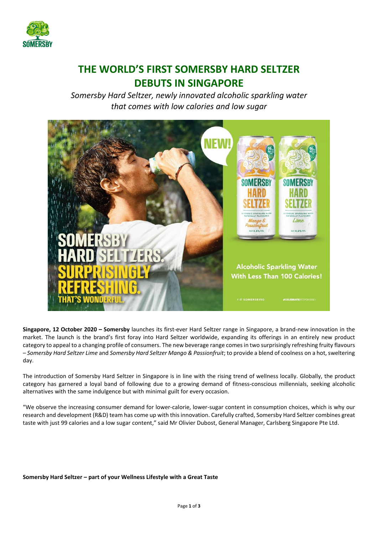

## **THE WORLD'S FIRST SOMERSBY HARD SELTZER DEBUTS IN SINGAPORE**

*Somersby Hard Seltzer, newly innovated alcoholic sparkling water that comes with low calories and low sugar*



**Singapore, 12 October 2020 – Somersby** launches its first-ever Hard Seltzer range in Singapore, a brand-new innovation in the market. The launch is the brand's first foray into Hard Seltzer worldwide, expanding its offerings in an entirely new product category to appeal to a changing profile of consumers. The new beverage range comesin two surprisingly refreshing fruity flavours – *Somersby Hard Seltzer Lime* and *Somersby Hard Seltzer Mango & Passionfruit*; to provide a blend of coolness on a hot, sweltering day.

The introduction of Somersby Hard Seltzer in Singapore is in line with the rising trend of wellness locally. Globally, the product category has garnered a loyal band of following due to a growing demand of fitness-conscious millennials, seeking alcoholic alternatives with the same indulgence but with minimal guilt for every occasion.

"We observe the increasing consumer demand for lower-calorie, lower-sugar content in consumption choices, which is why our research and development (R&D) team has come up with this innovation. Carefully crafted, Somersby Hard Seltzer combines great taste with just 99 calories and a low sugar content," said Mr Olivier Dubost, General Manager, Carlsberg Singapore Pte Ltd.

**Somersby Hard Seltzer – part of your Wellness Lifestyle with a Great Taste**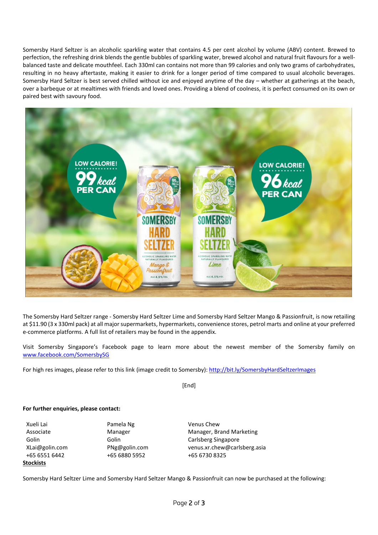Somersby Hard Seltzer is an alcoholic sparkling water that contains 4.5 per cent alcohol by volume (ABV) content. Brewed to perfection, the refreshing drink blends the gentle bubbles of sparkling water, brewed alcohol and natural fruit flavours for a wellbalanced taste and delicate mouthfeel. Each 330ml can contains not more than 99 calories and only two grams of carbohydrates, resulting in no heavy aftertaste, making it easier to drink for a longer period of time compared to usual alcoholic beverages. Somersby Hard Seltzer is best served chilled without ice and enjoyed anytime of the day – whether at gatherings at the beach, over a barbeque or at mealtimes with friends and loved ones. Providing a blend of coolness, it is perfect consumed on its own or paired best with savoury food.



The Somersby Hard Seltzer range - Somersby Hard Seltzer Lime and Somersby Hard Seltzer Mango & Passionfruit, is now retailing at \$11.90 (3 x 330ml pack) at all major supermarkets, hypermarkets, convenience stores, petrol marts and online at your preferred e-commerce platforms. A full list of retailers may be found in the appendix.

Visit Somersby Singapore's Facebook page to learn more about the newest member of the Somersby family on [www.facebook.com/SomersbySG](http://www.facebook.com/SomersbySG)

For high res images, please refer to this link (image credit to Somersby)[: http://bit.ly/SomersbyHardSeltzerImages](http://bit.ly/SomersbyHardSeltzerImages)

[End]

## **For further enquiries, please contact:**

Xueli Lai **Pamela Ng Venus Chew** Associate Golin **Stockists**

Manager Golin +65 6551 6442 +65 6880 5952 +65 6730 8325

Manager, Brand Marketing Carlsberg Singapore XLai@golin.com PNg@golin.com venus.xr.chew@carlsberg.asia

Somersby Hard Seltzer Lime and Somersby Hard Seltzer Mango & Passionfruit can now be purchased at the following: